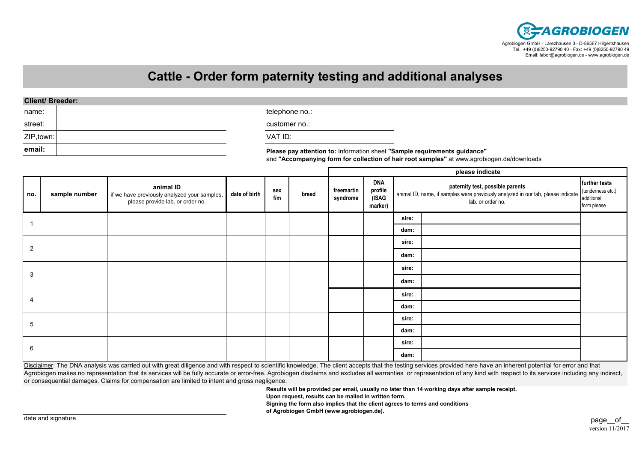

## **Cattle - Order form paternity testing and additional analyses**

## **Client/ Breeder:**

| name:      | telephone no.:                                                            |
|------------|---------------------------------------------------------------------------|
| street:    | customer no.:                                                             |
| ZIP, town: | VAT ID:                                                                   |
| email:     | Please pay attention to: Information sheet "Sample requirements guidance" |

and **"Accompanying form for collection of hair root samples"** at www.agrobiogen.de/downloads

|                |               |                                                                                               |               |            |       | please indicate        |                                           |                                                                                                                                                             |  |                              |
|----------------|---------------|-----------------------------------------------------------------------------------------------|---------------|------------|-------|------------------------|-------------------------------------------|-------------------------------------------------------------------------------------------------------------------------------------------------------------|--|------------------------------|
| no.            | sample number | animal ID<br>if we have previously analyzed your samples,<br>please provide lab. or order no. | date of birth | sex<br>f/m | breed | freemartin<br>syndrome | <b>DNA</b><br>profile<br>(ISAG<br>marker) | paternity test, possible parents<br>animal ID, name, if samples were previously analyzed in our lab, please indicate (tenderness etc.)<br>lab. or order no. |  | further tests<br>form please |
|                |               |                                                                                               |               |            |       |                        |                                           | sire:                                                                                                                                                       |  |                              |
|                |               |                                                                                               |               |            |       |                        |                                           | dam:                                                                                                                                                        |  |                              |
| $\overline{2}$ |               |                                                                                               |               |            |       |                        |                                           | sire:                                                                                                                                                       |  |                              |
|                |               |                                                                                               |               |            |       |                        |                                           | dam:                                                                                                                                                        |  |                              |
| 3              |               |                                                                                               |               |            |       |                        |                                           | sire:                                                                                                                                                       |  |                              |
|                |               |                                                                                               |               |            |       |                        |                                           | dam:                                                                                                                                                        |  |                              |
| 4              |               |                                                                                               |               |            |       |                        |                                           | sire:                                                                                                                                                       |  |                              |
|                |               |                                                                                               |               |            |       |                        |                                           | dam:                                                                                                                                                        |  |                              |
| 5              |               |                                                                                               |               |            |       |                        | sire:                                     |                                                                                                                                                             |  |                              |
|                |               |                                                                                               |               |            |       |                        |                                           | dam:                                                                                                                                                        |  |                              |
| 6              |               |                                                                                               |               |            |       |                        |                                           | sire:                                                                                                                                                       |  |                              |
|                |               |                                                                                               |               |            |       |                        |                                           | dam:                                                                                                                                                        |  |                              |

Disclaimer: The DNA analysis was carried out with great diligence and with respect to scientific knowledge. The client accepts that the testing services provided here have an inherent potential for error and that Agrobiogen makes no representation that its services will be fully accurate or error-free. Agrobiogen disclaims and excludes all warranties or representation of any kind with respect to its services including any indirect, or consequential damages. Claims for compensation are limited to intent and gross negligence.

**Results will be provided per email, usually no later than 14 working days after sample receipt.**

**Upon request, results can be mailed in written form.**

**Signing the form also implies that the client agrees to terms and conditions**

**of Agrobiogen GmbH (www.agrobiogen.de).**